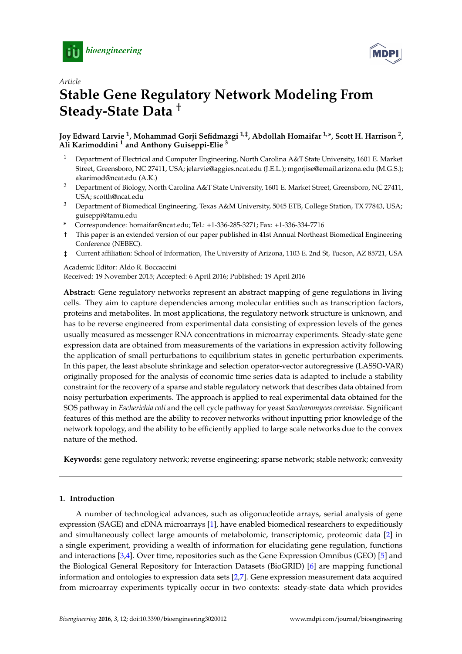



# *Article* **Stable Gene Regulatory Network Modeling From Steady-State Data** †

# **Joy Edward Larvie <sup>1</sup> , Mohammad Gorji Sefidmazgi 1,‡, Abdollah Homaifar 1,\*, Scott H. Harrison <sup>2</sup> , Ali Karimoddini <sup>1</sup> and Anthony Guiseppi-Elie <sup>3</sup>**

- <sup>1</sup> Department of Electrical and Computer Engineering, North Carolina A&T State University, 1601 E. Market Street, Greensboro, NC 27411, USA; jelarvie@aggies.ncat.edu (J.E.L.); mgorjise@email.arizona.edu (M.G.S.); akarimod@ncat.edu (A.K.)
- <sup>2</sup> Department of Biology, North Carolina A&T State University, 1601 E. Market Street, Greensboro, NC 27411, USA; scotth@ncat.edu
- <sup>3</sup> Department of Biomedical Engineering, Texas A&M University, 5045 ETB, College Station, TX 77843, USA; guiseppi@tamu.edu
- **\*** Correspondence: homaifar@ncat.edu; Tel.: +1-336-285-3271; Fax: +1-336-334-7716
- † This paper is an extended version of our paper published in 41st Annual Northeast Biomedical Engineering Conference (NEBEC).
- ‡ Current affiliation: School of Information, The University of Arizona, 1103 E. 2nd St, Tucson, AZ 85721, USA

Academic Editor: Aldo R. Boccaccini Received: 19 November 2015; Accepted: 6 April 2016; Published: 19 April 2016

**Abstract:** Gene regulatory networks represent an abstract mapping of gene regulations in living cells. They aim to capture dependencies among molecular entities such as transcription factors, proteins and metabolites. In most applications, the regulatory network structure is unknown, and has to be reverse engineered from experimental data consisting of expression levels of the genes usually measured as messenger RNA concentrations in microarray experiments. Steady-state gene expression data are obtained from measurements of the variations in expression activity following the application of small perturbations to equilibrium states in genetic perturbation experiments. In this paper, the least absolute shrinkage and selection operator-vector autoregressive (LASSO-VAR) originally proposed for the analysis of economic time series data is adapted to include a stability constraint for the recovery of a sparse and stable regulatory network that describes data obtained from noisy perturbation experiments. The approach is applied to real experimental data obtained for the SOS pathway in *Escherichia coli* and the cell cycle pathway for yeast *Saccharomyces cerevisiae*. Significant features of this method are the ability to recover networks without inputting prior knowledge of the network topology, and the ability to be efficiently applied to large scale networks due to the convex nature of the method.

**Keywords:** gene regulatory network; reverse engineering; sparse network; stable network; convexity

# **1. Introduction**

A number of technological advances, such as oligonucleotide arrays, serial analysis of gene expression (SAGE) and cDNA microarrays [\[1\]](#page-12-0), have enabled biomedical researchers to expeditiously and simultaneously collect large amounts of metabolomic, transcriptomic, proteomic data [\[2\]](#page-12-1) in a single experiment, providing a wealth of information for elucidating gene regulation, functions and interactions [\[3](#page-12-2)[,4\]](#page-12-3). Over time, repositories such as the Gene Expression Omnibus (GEO) [\[5\]](#page-12-4) and the Biological General Repository for Interaction Datasets (BioGRID) [\[6\]](#page-12-5) are mapping functional information and ontologies to expression data sets [\[2,](#page-12-1)[7\]](#page-12-6). Gene expression measurement data acquired from microarray experiments typically occur in two contexts: steady-state data which provides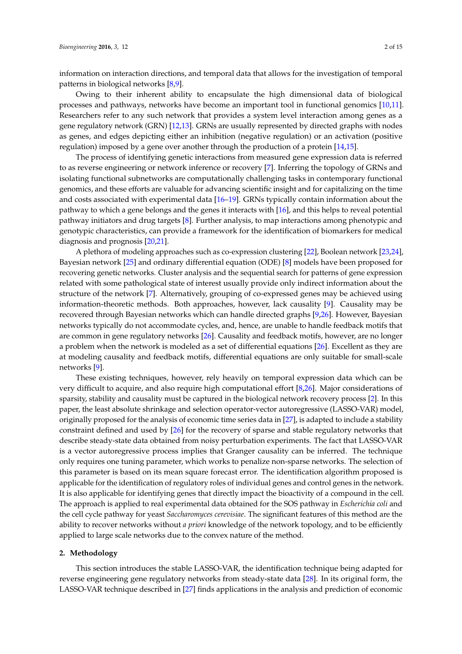information on interaction directions, and temporal data that allows for the investigation of temporal patterns in biological networks [\[8,](#page-12-7)[9\]](#page-12-8).

Owing to their inherent ability to encapsulate the high dimensional data of biological processes and pathways, networks have become an important tool in functional genomics [\[10,](#page-12-9)[11\]](#page-12-10). Researchers refer to any such network that provides a system level interaction among genes as a gene regulatory network (GRN) [\[12](#page-12-11)[,13\]](#page-12-12). GRNs are usually represented by directed graphs with nodes as genes, and edges depicting either an inhibition (negative regulation) or an activation (positive regulation) imposed by a gene over another through the production of a protein [\[14](#page-12-13)[,15\]](#page-12-14).

The process of identifying genetic interactions from measured gene expression data is referred to as reverse engineering or network inference or recovery [\[7\]](#page-12-6). Inferring the topology of GRNs and isolating functional subnetworks are computationally challenging tasks in contemporary functional genomics, and these efforts are valuable for advancing scientific insight and for capitalizing on the time and costs associated with experimental data [\[16](#page-12-15)[–19\]](#page-12-16). GRNs typically contain information about the pathway to which a gene belongs and the genes it interacts with [\[16\]](#page-12-15), and this helps to reveal potential pathway initiators and drug targets [\[8\]](#page-12-7). Further analysis, to map interactions among phenotypic and genotypic characteristics, can provide a framework for the identification of biomarkers for medical diagnosis and prognosis [\[20,](#page-12-17)[21\]](#page-13-0).

A plethora of modeling approaches such as co-expression clustering [\[22\]](#page-13-1), Boolean network [\[23](#page-13-2)[,24\]](#page-13-3), Bayesian network [\[25\]](#page-13-4) and ordinary differential equation (ODE) [\[8\]](#page-12-7) models have been proposed for recovering genetic networks. Cluster analysis and the sequential search for patterns of gene expression related with some pathological state of interest usually provide only indirect information about the structure of the network [\[7\]](#page-12-6). Alternatively, grouping of co-expressed genes may be achieved using information-theoretic methods. Both approaches, however, lack causality [\[9\]](#page-12-8). Causality may be recovered through Bayesian networks which can handle directed graphs [\[9,](#page-12-8)[26\]](#page-13-5). However, Bayesian networks typically do not accommodate cycles, and, hence, are unable to handle feedback motifs that are common in gene regulatory networks [\[26\]](#page-13-5). Causality and feedback motifs, however, are no longer a problem when the network is modeled as a set of differential equations [\[26\]](#page-13-5). Excellent as they are at modeling causality and feedback motifs, differential equations are only suitable for small-scale networks [\[9\]](#page-12-8).

These existing techniques, however, rely heavily on temporal expression data which can be very difficult to acquire, and also require high computational effort [\[8](#page-12-7)[,26\]](#page-13-5). Major considerations of sparsity, stability and causality must be captured in the biological network recovery process [\[2\]](#page-12-1). In this paper, the least absolute shrinkage and selection operator-vector autoregressive (LASSO-VAR) model, originally proposed for the analysis of economic time series data in [\[27\]](#page-13-6), is adapted to include a stability constraint defined and used by [\[26\]](#page-13-5) for the recovery of sparse and stable regulatory networks that describe steady-state data obtained from noisy perturbation experiments. The fact that LASSO-VAR is a vector autoregressive process implies that Granger causality can be inferred. The technique only requires one tuning parameter, which works to penalize non-sparse networks. The selection of this parameter is based on its mean square forecast error. The identification algorithm proposed is applicable for the identification of regulatory roles of individual genes and control genes in the network. It is also applicable for identifying genes that directly impact the bioactivity of a compound in the cell. The approach is applied to real experimental data obtained for the SOS pathway in *Escherichia coli* and the cell cycle pathway for yeast *Saccharomyces cerevisiae*. The significant features of this method are the ability to recover networks without *a priori* knowledge of the network topology, and to be efficiently applied to large scale networks due to the convex nature of the method.

#### **2. Methodology**

This section introduces the stable LASSO-VAR, the identification technique being adapted for reverse engineering gene regulatory networks from steady-state data [\[28\]](#page-13-7). In its original form, the LASSO-VAR technique described in [\[27\]](#page-13-6) finds applications in the analysis and prediction of economic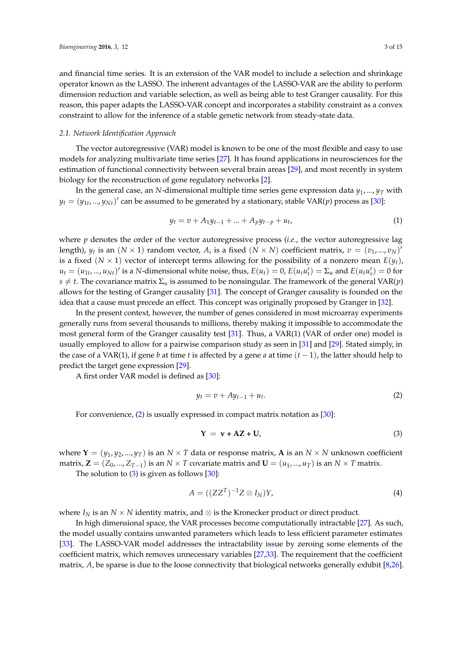and financial time series. It is an extension of the VAR model to include a selection and shrinkage operator known as the LASSO. The inherent advantages of the LASSO-VAR are the ability to perform dimension reduction and variable selection, as well as being able to test Granger causality. For this reason, this paper adapts the LASSO-VAR concept and incorporates a stability constraint as a convex constraint to allow for the inference of a stable genetic network from steady-state data.

#### *2.1. Network Identification Approach*

The vector autoregressive (VAR) model is known to be one of the most flexible and easy to use models for analyzing multivariate time series [\[27\]](#page-13-6). It has found applications in neurosciences for the estimation of functional connectivity between several brain areas [\[29\]](#page-13-8), and most recently in system biology for the reconstruction of gene regulatory networks [\[2\]](#page-12-1).

In the general case, an *N*-dimensional multiple time series gene expression data *y*1, ..., *y<sup>T</sup>* with  $y_t = (y_{1t},..., y_{Nt})'$  can be assumed to be generated by a stationary, stable VAR(*p*) process as [\[30\]](#page-13-9):

$$
y_t = v + A_1 y_{t-1} + \dots + A_p y_{t-p} + u_t, \tag{1}
$$

where *p* denotes the order of the vector autoregressive process (*i.e.*, the vector autoregressive lag length),  $y_t$  is an  $(N \times 1)$  random vector,  $A_i$  is a fixed  $(N \times N)$  coefficient matrix,  $v = (v_1, ..., v_N)^T$ is a fixed  $(N \times 1)$  vector of intercept terms allowing for the possibility of a nonzero mean  $E(y_t)$ ,  $u_t = (u_{1t},...,u_{Nt})'$  is a N-dimensional white noise, thus,  $E(u_t) = 0$ ,  $E(u_t u'_t) = \Sigma_u$  and  $E(u_t u'_s) = 0$  for *s*  $\neq$  *t*. The covariance matrix  $\Sigma_u$  is assumed to be nonsingular. The framework of the general VAR(*p*) allows for the testing of Granger causality [\[31\]](#page-13-10). The concept of Granger causality is founded on the idea that a cause must precede an effect. This concept was originally proposed by Granger in [\[32\]](#page-13-11).

In the present context, however, the number of genes considered in most microarray experiments generally runs from several thousands to millions, thereby making it impossible to accommodate the most general form of the Granger causality test [\[31\]](#page-13-10). Thus, a VAR(1) (VAR of order one) model is usually employed to allow for a pairwise comparison study as seen in [\[31\]](#page-13-10) and [\[29\]](#page-13-8). Stated simply, in the case of a VAR(1), if gene *b* at time *t* is affected by a gene *a* at time (*t* − 1), the latter should help to predict the target gene expression [\[29\]](#page-13-8).

A first order VAR model is defined as [\[30\]](#page-13-9):

<span id="page-2-0"></span>
$$
y_t = v + Ay_{t-1} + u_t. \tag{2}
$$

For convenience, [\(2\)](#page-2-0) is usually expressed in compact matrix notation as [\[30\]](#page-13-9):

<span id="page-2-1"></span>
$$
Y = v + AZ + U, \tag{3}
$$

where  $Y = (y_1, y_2, ..., y_T)$  is an  $N \times T$  data or response matrix, **A** is an  $N \times N$  unknown coefficient matrix,  $\mathbf{Z} = (Z_0, ..., Z_{T-1})$  is an  $N \times T$  covariate matrix and  $\mathbf{U} = (u_1, ..., u_T)$  is an  $N \times T$  matrix.

The solution to  $(3)$  is given as follows  $[30]$ :

$$
A = ((ZZT)-1Z \otimes IN)Y,
$$
\n(4)

where  $I_N$  is an  $N \times N$  identity matrix, and  $\otimes$  is the Kronecker product or direct product.

In high dimensional space, the VAR processes become computationally intractable [\[27\]](#page-13-6). As such, the model usually contains unwanted parameters which leads to less efficient parameter estimates [\[33\]](#page-13-12). The LASSO-VAR model addresses the intractability issue by zeroing some elements of the coefficient matrix, which removes unnecessary variables [\[27](#page-13-6)[,33\]](#page-13-12). The requirement that the coefficient matrix, *A*, be sparse is due to the loose connectivity that biological networks generally exhibit [\[8,](#page-12-7)[26\]](#page-13-5).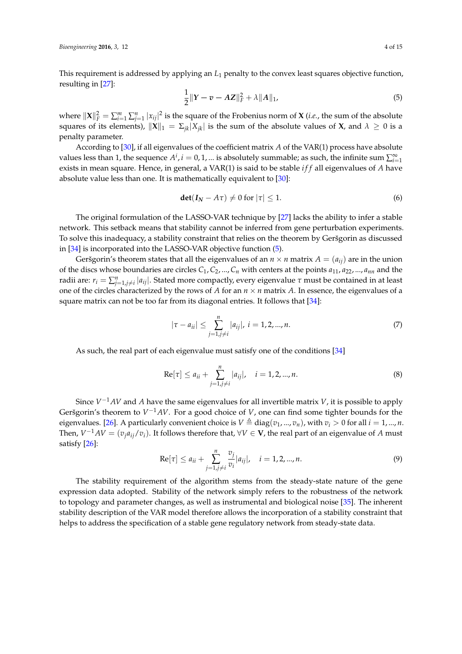*Bioengineering* **2016**, *3*, 12 4 of 15

This requirement is addressed by applying an *L*<sup>1</sup> penalty to the convex least squares objective function, resulting in [\[27\]](#page-13-6):

<span id="page-3-0"></span>
$$
\frac{1}{2}||Y - v - AZ||_F^2 + \lambda ||A||_1,
$$
\n(5)

where  $\|\mathbf{X}\|_F^2 = \sum_{i=1}^m \sum_{j=1}^n |x_{ij}|^2$  is the square of the Frobenius norm of **X** (*i.e.*, the sum of the absolute squares of its elements),  $\|\mathbf{X}\|_1 = \sum_{ik} |X_{ik}|$  is the sum of the absolute values of **X**, and  $\lambda \geq 0$  is a penalty parameter.

According to [\[30\]](#page-13-9), if all eigenvalues of the coefficient matrix *A* of the VAR(1) process have absolute values less than 1, the sequence  $A^i$ ,  $i = 0, 1, ...$  is absolutely summable; as such, the infinite sum  $\sum_{i=1}^{\infty}$ exists in mean square. Hence, in general, a VAR(1) is said to be stable *iff* all eigenvalues of *A* have absolute value less than one. It is mathematically equivalent to [\[30\]](#page-13-9):

$$
\det(I_N - A\tau) \neq 0 \text{ for } |\tau| \leq 1. \tag{6}
$$

The original formulation of the LASSO-VAR technique by [\[27\]](#page-13-6) lacks the ability to infer a stable network. This setback means that stability cannot be inferred from gene perturbation experiments. To solve this inadequacy, a stability constraint that relies on the theorem by Geršgorin as discussed in [\[34\]](#page-13-13) is incorporated into the LASSO-VAR objective function [\(5\)](#page-3-0).

Geršgorin's theorem states that all the eigenvalues of an  $n \times n$  matrix  $A = (a_{ij})$  are in the union of the discs whose boundaries are circles  $C_1$ ,  $C_2$ , ...,  $C_n$  with centers at the points  $a_{11}$ ,  $a_{22}$ , ...,  $a_{nn}$  and the *radii are:*  $r_i = \sum_{j=1, j\neq i}^{n} |a_{ij}|$ . Stated more compactly, every eigenvalue *τ* must be contained in at least one of the circles characterized by the rows of *A* for an  $n \times n$  matrix *A*. In essence, the eigenvalues of a square matrix can not be too far from its diagonal entries. It follows that [\[34\]](#page-13-13):

$$
|\tau - a_{ii}| \le \sum_{j=1, j \ne i}^{n} |a_{ij}|, i = 1, 2, ..., n.
$$
 (7)

As such, the real part of each eigenvalue must satisfy one of the conditions [\[34\]](#page-13-13)

$$
\text{Re}[\tau] \le a_{ii} + \sum_{j=1, j \neq i}^{n} |a_{ij}|, \quad i = 1, 2, ..., n. \tag{8}
$$

Since *V* <sup>−</sup>1*AV* and *A* have the same eigenvalues for all invertible matrix *V*, it is possible to apply Geršgorin's theorem to *V*<sup>-1</sup>*AV*. For a good choice of *V*, one can find some tighter bounds for the eigenvalues. [\[26\]](#page-13-5). A particularly convenient choice is  $V \triangleq diag(v_1, ..., v_n)$ , with  $v_i > 0$  for all  $i = 1, ..., n$ . Then,  $V^{-1}AV = (v_j a_{ij}/v_i)$ . It follows therefore that,  $\forall V \in \mathbf{V}$ , the real part of an eigenvalue of  $A$  must satisfy [\[26\]](#page-13-5):

$$
\text{Re}[\tau] \le a_{ii} + \sum_{j=1, j \neq i}^{n} \frac{v_j}{v_i} |a_{ij}|, \quad i = 1, 2, ..., n. \tag{9}
$$

The stability requirement of the algorithm stems from the steady-state nature of the gene expression data adopted. Stability of the network simply refers to the robustness of the network to topology and parameter changes, as well as instrumental and biological noise [\[35\]](#page-13-14). The inherent stability description of the VAR model therefore allows the incorporation of a stability constraint that helps to address the specification of a stable gene regulatory network from steady-state data.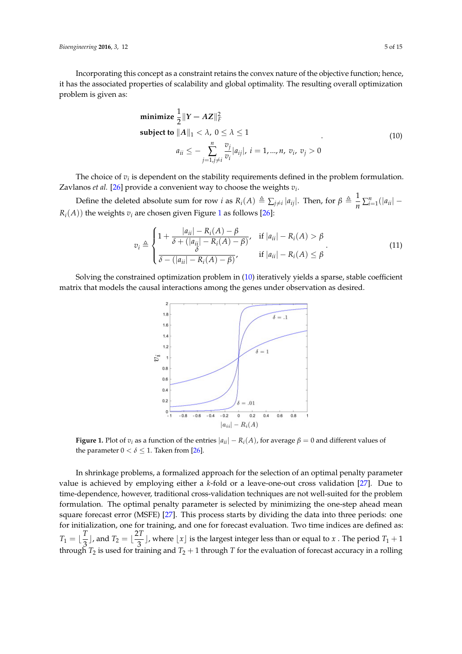*Bioengineering* **2016**, *3*, 12 5 of 15

Incorporating this concept as a constraint retains the convex nature of the objective function; hence, it has the associated properties of scalability and global optimality. The resulting overall optimization problem is given as:

<span id="page-4-1"></span>
$$
\begin{aligned}\n\text{minimize } & \frac{1}{2} \|\mathbf{Y} - A\mathbf{Z}\|_{F}^{2} \\
\text{subject to } & \|A\|_{1} < \lambda, \ 0 \leq \lambda \leq 1 \\
a_{ii} & \leq -\sum_{j=1, j \neq i}^{n} \frac{v_{j}}{v_{i}} |a_{ij}|, \ i = 1, \dots, n, \ v_{i}, \ v_{j} > 0\n\end{aligned} \tag{10}
$$

The choice of  $v_i$  is dependent on the stability requirements defined in the problem formulation. Zavlanos *et al.* [\[26\]](#page-13-5) provide a convenient way to choose the weights *v<sup>i</sup>* .

Define the deleted absolute sum for row *i* as  $R_i(A) \triangleq \sum_{j\neq i} |a_{ij}|$ . Then, for  $\beta \triangleq \frac{1}{n}$  $\frac{1}{n} \sum_{i=1}^{n} (|a_{ii}| R_i(A)$ ) the weights  $v_i$  are chosen given Figure [1](#page-4-0) as follows [\[26\]](#page-13-5):

$$
v_{i} \triangleq \begin{cases} 1 + \frac{|a_{ii}| - R_{i}(A) - \beta}{\delta + (|a_{ii}| - R_{i}(A) - \beta)}, & \text{if } |a_{ii}| - R_{i}(A) > \beta \\ \frac{\delta}{\delta - (|a_{ii}| - R_{i}(A) - \beta)}, & \text{if } |a_{ii}| - R_{i}(A) \le \beta \end{cases}
$$
(11)

<span id="page-4-0"></span>Solving the constrained optimization problem in [\(10\)](#page-4-1) iteratively yields a sparse, stable coefficient matrix that models the causal interactions among the genes under observation as desired.



**Figure 1.** Plot of  $v_i$  as a function of the entries  $|a_{ii}| - R_i(A)$ , for average  $\beta = 0$  and different values of the parameter  $0 < \delta \leq 1$ . Taken from [\[26\]](#page-13-5).

In shrinkage problems, a formalized approach for the selection of an optimal penalty parameter value is achieved by employing either a *k*-fold or a leave-one-out cross validation [\[27\]](#page-13-6). Due to time-dependence, however, traditional cross-validation techniques are not well-suited for the problem formulation. The optimal penalty parameter is selected by minimizing the one-step ahead mean square forecast error (MSFE) [\[27\]](#page-13-6). This process starts by dividing the data into three periods: one for initialization, one for training, and one for forecast evaluation. Two time indices are defined as:  $T_1 = \lfloor \frac{T}{2} \rfloor$  $\frac{T}{3}$ , and  $T_2 = \lfloor \frac{2T}{3} \rfloor$  $\frac{1}{3}$ , where  $\lfloor x \rfloor$  is the largest integer less than or equal to *x* . The period  $T_1 + 1$ through  $T_2$  is used for training and  $T_2 + 1$  through  $T$  for the evaluation of forecast accuracy in a rolling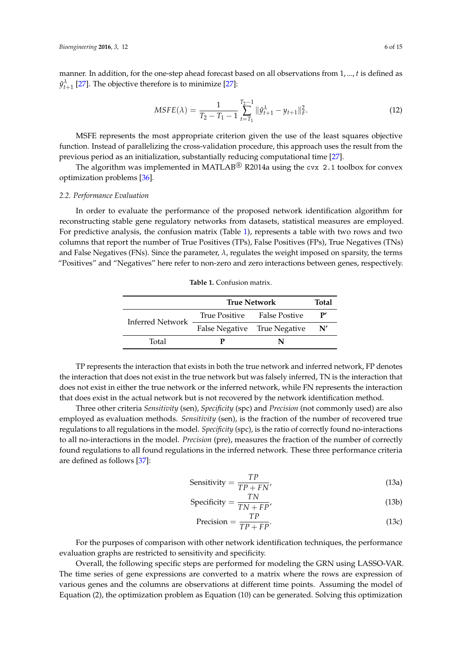manner. In addition, for the one-step ahead forecast based on all observations from 1, ..., *t* is defined as  $\hat{y}_{t+1}^{\lambda}$  [\[27\]](#page-13-6). The objective therefore is to minimize [27]:

$$
MSFE(\lambda) = \frac{1}{T_2 - T_1 - 1} \sum_{t=T_1}^{T_2 - 1} ||\hat{y}_{t+1}^{\lambda} - y_{t+1}||_F^2.
$$
 (12)

MSFE represents the most appropriate criterion given the use of the least squares objective function. Instead of parallelizing the cross-validation procedure, this approach uses the result from the previous period as an initialization, substantially reducing computational time [\[27\]](#page-13-6).

The algorithm was implemented in MATLAB $\textcircled{R}$  R2014a using the cvx 2.1 toolbox for convex optimization problems [\[36\]](#page-13-15).

#### *2.2. Performance Evaluation*

<span id="page-5-0"></span>In order to evaluate the performance of the proposed network identification algorithm for reconstructing stable gene regulatory networks from datasets, statistical measures are employed. For predictive analysis, the confusion matrix (Table [1\)](#page-5-0), represents a table with two rows and two columns that report the number of True Positives (TPs), False Positives (FPs), True Negatives (TNs) and False Negatives (FNs). Since the parameter, *λ*, regulates the weight imposed on sparsity, the terms "Positives" and "Negatives" here refer to non-zero and zero interactions between genes, respectively.

| Table 1. Confusion matrix. |  |  |  |  |
|----------------------------|--|--|--|--|
|----------------------------|--|--|--|--|

|                         | True Network                 | Total         |    |
|-------------------------|------------------------------|---------------|----|
| <b>Inferred Network</b> | True Positive                | False Postive | P' |
|                         | False Negative True Negative |               | N' |
| Total                   |                              | N             |    |

TP represents the interaction that exists in both the true network and inferred network, FP denotes the interaction that does not exist in the true network but was falsely inferred, TN is the interaction that does not exist in either the true network or the inferred network, while FN represents the interaction that does exist in the actual network but is not recovered by the network identification method.

Three other criteria *Sensitivity* (sen), *Specificity* (spc) and *Precision* (not commonly used) are also employed as evaluation methods. *Sensitivity* (sen), is the fraction of the number of recovered true regulations to all regulations in the model. *Specificity* (spc), is the ratio of correctly found no-interactions to all no-interactions in the model. *Precision* (pre), measures the fraction of the number of correctly found regulations to all found regulations in the inferred network. These three performance criteria are defined as follows [\[37\]](#page-13-16):

Sensitivity = 
$$
\frac{TP}{TP + FN'}
$$
 (13a)

$$
Specificity = \frac{TN}{TN + FP'},
$$
\n(13b)

$$
Precision = \frac{TP}{TP + FP}.
$$
\n(13c)

For the purposes of comparison with other network identification techniques, the performance evaluation graphs are restricted to sensitivity and specificity.

Overall, the following specific steps are performed for modeling the GRN using LASSO-VAR. The time series of gene expressions are converted to a matrix where the rows are expression of various genes and the columns are observations at different time points. Assuming the model of Equation (2), the optimization problem as Equation (10) can be generated. Solving this optimization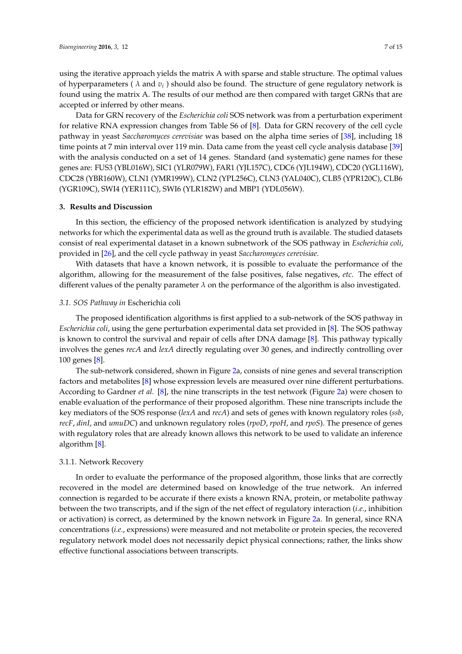using the iterative approach yields the matrix A with sparse and stable structure. The optimal values of hyperparameters ( $\lambda$  and  $v_i$ ) should also be found. The structure of gene regulatory network is found using the matrix A. The results of our method are then compared with target GRNs that are accepted or inferred by other means.

Data for GRN recovery of the *Escherichia coli* SOS network was from a perturbation experiment for relative RNA expression changes from Table S6 of [\[8\]](#page-12-7). Data for GRN recovery of the cell cycle pathway in yeast *Saccharomyces cerevisiae* was based on the alpha time series of [\[38\]](#page-13-17), including 18 time points at 7 min interval over 119 min. Data came from the yeast cell cycle analysis database [\[39\]](#page-13-18) with the analysis conducted on a set of 14 genes. Standard (and systematic) gene names for these genes are: FUS3 (YBL016W), SIC1 (YLR079W), FAR1 (YJL157C), CDC6 (YJL194W), CDC20 (YGL116W), CDC28 (YBR160W), CLN1 (YMR199W), CLN2 (YPL256C), CLN3 (YAL040C), CLB5 (YPR120C), CLB6 (YGR109C), SWI4 (YER111C), SWI6 (YLR182W) and MBP1 (YDL056W).

#### **3. Results and Discussion**

In this section, the efficiency of the proposed network identification is analyzed by studying networks for which the experimental data as well as the ground truth is available. The studied datasets consist of real experimental dataset in a known subnetwork of the SOS pathway in *Escherichia coli*, provided in [\[26\]](#page-13-5), and the cell cycle pathway in yeast *Saccharomyces cerevisiae*.

With datasets that have a known network, it is possible to evaluate the performance of the algorithm, allowing for the measurement of the false positives, false negatives, *etc*. The effect of different values of the penalty parameter  $\lambda$  on the performance of the algorithm is also investigated.

### *3.1. SOS Pathway in* Escherichia coli

The proposed identification algorithms is first applied to a sub-network of the SOS pathway in *Escherichia coli*, using the gene perturbation experimental data set provided in [\[8\]](#page-12-7). The SOS pathway is known to control the survival and repair of cells after DNA damage [\[8\]](#page-12-7). This pathway typically involves the genes *recA* and *lexA* directly regulating over 30 genes, and indirectly controlling over 100 genes [\[8\]](#page-12-7).

The sub-network considered, shown in Figure [2a](#page-7-0), consists of nine genes and several transcription factors and metabolites [\[8\]](#page-12-7) whose expression levels are measured over nine different perturbations. According to Gardner *et al.* [\[8\]](#page-12-7), the nine transcripts in the test network (Figure [2a](#page-7-0)) were chosen to enable evaluation of the performance of their proposed algorithm. These nine transcripts include the key mediators of the SOS response (*lexA* and *recA*) and sets of genes with known regulatory roles (*ssb*, *recF*, *dinI*, and *umuDC*) and unknown regulatory roles (*rpoD*, *rpoH*, and *rpoS*). The presence of genes with regulatory roles that are already known allows this network to be used to validate an inference algorithm [\[8\]](#page-12-7).

## <span id="page-6-0"></span>3.1.1. Network Recovery

In order to evaluate the performance of the proposed algorithm, those links that are correctly recovered in the model are determined based on knowledge of the true network. An inferred connection is regarded to be accurate if there exists a known RNA, protein, or metabolite pathway between the two transcripts, and if the sign of the net effect of regulatory interaction (*i.e.*, inhibition or activation) is correct, as determined by the known network in Figure [2a](#page-7-0). In general, since RNA concentrations (*i.e.*, expressions) were measured and not metabolite or protein species, the recovered regulatory network model does not necessarily depict physical connections; rather, the links show effective functional associations between transcripts.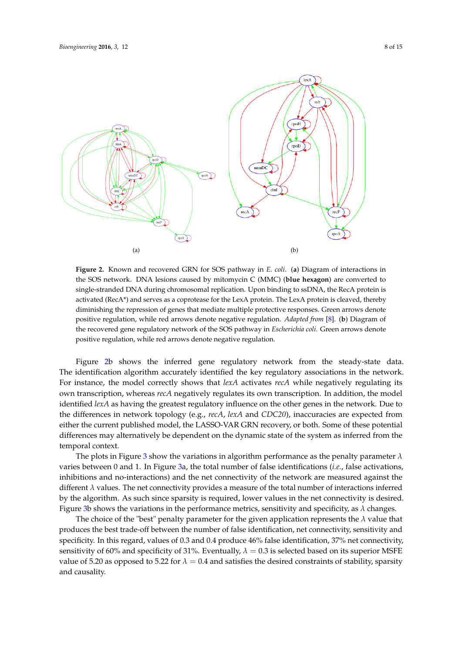<span id="page-7-0"></span>

**Figure 2.** Known and recovered GRN for SOS pathway in *E. coli*. (**a**) Diagram of interactions in the SOS network. DNA lesions caused by mitomycin C (MMC) (**blue hexagon**) are converted to single-stranded DNA during chromosomal replication. Upon binding to ssDNA, the RecA protein is activated (RecA\*) and serves as a coprotease for the LexA protein. The LexA protein is cleaved, thereby diminishing the repression of genes that mediate multiple protective responses. Green arrows denote positive regulation, while red arrows denote negative regulation. *Adapted from* [\[8\]](#page-12-7). (**b**) Diagram of the recovered gene regulatory network of the SOS pathway in *Escherichia coli*. Green arrows denote positive regulation, while red arrows denote negative regulation.

Figure [2b](#page-7-0) shows the inferred gene regulatory network from the steady-state data. The identification algorithm accurately identified the key regulatory associations in the network. For instance, the model correctly shows that *lexA* activates *recA* while negatively regulating its own transcription, whereas *recA* negatively regulates its own transcription. In addition, the model identified *lexA* as having the greatest regulatory influence on the other genes in the network. Due to the differences in network topology (e.g., *recA*, *lexA* and *CDC20*), inaccuracies are expected from either the current published model, the LASSO-VAR GRN recovery, or both. Some of these potential differences may alternatively be dependent on the dynamic state of the system as inferred from the temporal context.

The plots in Figure [3](#page-8-0) show the variations in algorithm performance as the penalty parameter *λ* varies between 0 and 1. In Figure [3a](#page-8-0), the total number of false identifications (*i.e.*, false activations, inhibitions and no-interactions) and the net connectivity of the network are measured against the different  $\lambda$  values. The net connectivity provides a measure of the total number of interactions inferred by the algorithm. As such since sparsity is required, lower values in the net connectivity is desired. Figure [3b](#page-8-0) shows the variations in the performance metrics, sensitivity and specificity, as *λ* changes.

The choice of the "best" penalty parameter for the given application represents the *λ* value that produces the best trade-off between the number of false identification, net connectivity, sensitivity and specificity. In this regard, values of 0.3 and 0.4 produce 46% false identification, 37% net connectivity, sensitivity of 60% and specificity of 31%. Eventually,  $\lambda = 0.3$  is selected based on its superior MSFE value of 5.20 as opposed to 5.22 for  $\lambda = 0.4$  and satisfies the desired constraints of stability, sparsity and causality.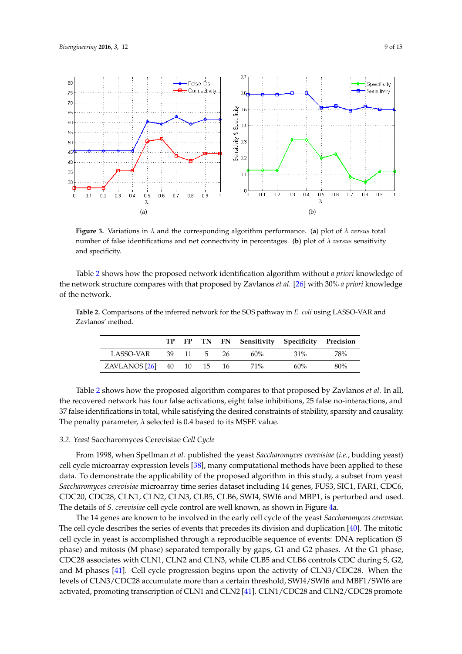<span id="page-8-0"></span>

**Figure 3.** Variations in  $\lambda$  and the corresponding algorithm performance. (a) plot of  $\lambda$  *versus* total number of false identifications and net connectivity in percentages. (**b**) plot of *λ versus* sensitivity and specificity.

Table [2](#page-8-1) shows how the proposed network identification algorithm without *a priori* knowledge of the network structure compares with that proposed by Zavlanos *et al.* [\[26\]](#page-13-5) with 30% *a priori* knowledge of the network.

|                        |  |         |     | TP FP TN FN Sensitivity Specificity Precision |        |     |
|------------------------|--|---------|-----|-----------------------------------------------|--------|-----|
| LASSO-VAR              |  | 39 11 5 | 26  | $60\%$                                        | $31\%$ | 78% |
| ZAVLANDS [26] 40 10 15 |  |         | -16 | 71%                                           | 60%    | 80% |

<span id="page-8-1"></span>**Table 2.** Comparisons of the inferred network for the SOS pathway in *E. coli* using LASSO-VAR and Zavlanos' method.

Table [2](#page-8-1) shows how the proposed algorithm compares to that proposed by Zavlanos *et al.* In all, the recovered network has four false activations, eight false inhibitions, 25 false no-interactions, and 37 false identifications in total, while satisfying the desired constraints of stability, sparsity and causality. The penalty parameter,  $\lambda$  selected is 0.4 based to its MSFE value.

# *3.2. Yeast* Saccharomyces Cerevisiae *Cell Cycle*

From 1998, when Spellman *et al.* published the yeast *Saccharomyces cerevisiae* (*i.e.*, budding yeast) cell cycle microarray expression levels [\[38\]](#page-13-17), many computational methods have been applied to these data. To demonstrate the applicability of the proposed algorithm in this study, a subset from yeast *Saccharomyces cerevisiae* microarray time series dataset including 14 genes, FUS3, SIC1, FAR1, CDC6, CDC20, CDC28, CLN1, CLN2, CLN3, CLB5, CLB6, SWI4, SWI6 and MBP1, is perturbed and used. The details of *S. cerevisiae* cell cycle control are well known, as shown in Figure [4a](#page-9-0).

The 14 genes are known to be involved in the early cell cycle of the yeast *Saccharomyces cerevisiae*. The cell cycle describes the series of events that precedes its division and duplication [\[40\]](#page-13-19). The mitotic cell cycle in yeast is accomplished through a reproducible sequence of events: DNA replication (S phase) and mitosis (M phase) separated temporally by gaps, G1 and G2 phases. At the G1 phase, CDC28 associates with CLN1, CLN2 and CLN3, while CLB5 and CLB6 controls CDC during S, G2, and M phases [\[41\]](#page-13-20). Cell cycle progression begins upon the activity of CLN3/CDC28. When the levels of CLN3/CDC28 accumulate more than a certain threshold, SWI4/SWI6 and MBF1/SWI6 are activated, promoting transcription of CLN1 and CLN2 [\[41\]](#page-13-20). CLN1/CDC28 and CLN2/CDC28 promote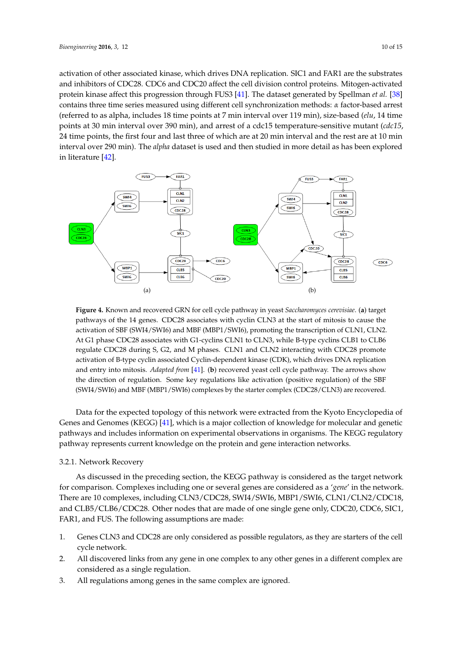activation of other associated kinase, which drives DNA replication. SIC1 and FAR1 are the substrates and inhibitors of CDC28. CDC6 and CDC20 affect the cell division control proteins. Mitogen-activated protein kinase affect this progression through FUS3 [\[41\]](#page-13-20). The dataset generated by Spellman *et al.* [\[38\]](#page-13-17) contains three time series measured using different cell synchronization methods: *α* factor-based arrest (referred to as alpha, includes 18 time points at 7 min interval over 119 min), size-based (*elu*, 14 time points at 30 min interval over 390 min), and arrest of a cdc15 temperature-sensitive mutant (*cdc15*, 24 time points, the first four and last three of which are at 20 min interval and the rest are at 10 min interval over 290 min). The *alpha* dataset is used and then studied in more detail as has been explored in literature [\[42\]](#page-13-21).

<span id="page-9-0"></span>

**Figure 4.** Known and recovered GRN for cell cycle pathway in yeast *Saccharomyces cerevisiae*. (**a**) target pathways of the 14 genes. CDC28 associates with cyclin CLN3 at the start of mitosis to cause the activation of SBF (SWI4/SWI6) and MBF (MBP1/SWI6), promoting the transcription of CLN1, CLN2. At G1 phase CDC28 associates with G1-cyclins CLN1 to CLN3, while B-type cyclins CLB1 to CLB6 regulate CDC28 during S, G2, and M phases. CLN1 and CLN2 interacting with CDC28 promote activation of B-type cyclin associated Cyclin-dependent kinase (CDK), which drives DNA replication and entry into mitosis. *Adapted from* [\[41\]](#page-13-20). (**b**) recovered yeast cell cycle pathway. The arrows show the direction of regulation. Some key regulations like activation (positive regulation) of the SBF (SWI4/SWI6) and MBF (MBP1/SWI6) complexes by the starter complex (CDC28/CLN3) are recovered.

Data for the expected topology of this network were extracted from the Kyoto Encyclopedia of Genes and Genomes (KEGG) [\[41\]](#page-13-20), which is a major collection of knowledge for molecular and genetic pathways and includes information on experimental observations in organisms. The KEGG regulatory pathway represents current knowledge on the protein and gene interaction networks.

# 3.2.1. Network Recovery

As discussed in the preceding section, the KEGG pathway is considered as the target network for comparison. Complexes including one or several genes are considered as a '*gene*' in the network. There are 10 complexes, including CLN3/CDC28, SWI4/SWI6, MBP1/SWI6, CLN1/CLN2/CDC18, and CLB5/CLB6/CDC28. Other nodes that are made of one single gene only, CDC20, CDC6, SIC1, FAR1, and FUS. The following assumptions are made:

- 1. Genes CLN3 and CDC28 are only considered as possible regulators, as they are starters of the cell cycle network.
- 2. All discovered links from any gene in one complex to any other genes in a different complex are considered as a single regulation.
- 3. All regulations among genes in the same complex are ignored.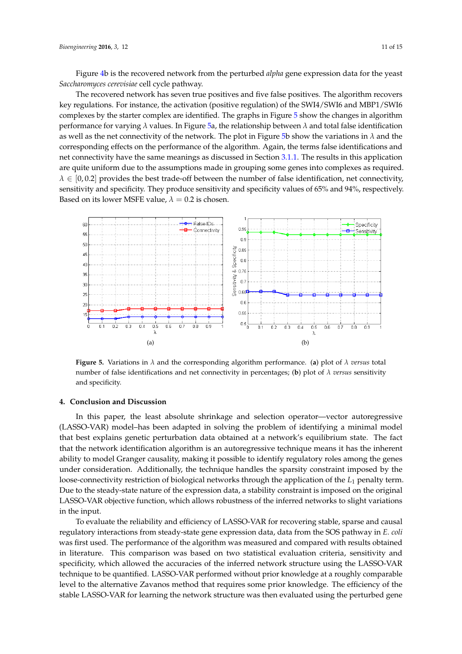Figure [4b](#page-9-0) is the recovered network from the perturbed *alpha* gene expression data for the yeast *Saccharomyces cerevisiae* cell cycle pathway.

The recovered network has seven true positives and five false positives. The algorithm recovers key regulations. For instance, the activation (positive regulation) of the SWI4/SWI6 and MBP1/SWI6 complexes by the starter complex are identified. The graphs in Figure [5](#page-10-0) show the changes in algorithm performance for varying *λ* values. In Figure [5a](#page-10-0), the relationship between *λ* and total false identification as well as the net connectivity of the network. The plot in Figure [5b](#page-10-0) show the variations in *λ* and the corresponding effects on the performance of the algorithm. Again, the terms false identifications and net connectivity have the same meanings as discussed in Section [3.1.1.](#page-6-0) The results in this application are quite uniform due to the assumptions made in grouping some genes into complexes as required.  $\lambda \in [0, 0.2]$  provides the best trade-off between the number of false identification, net connectivity, sensitivity and specificity. They produce sensitivity and specificity values of 65% and 94%, respectively. Based on its lower MSFE value,  $\lambda = 0.2$  is chosen.

<span id="page-10-0"></span>

**Figure 5.** Variations in  $\lambda$  and the corresponding algorithm performance. (a) plot of  $\lambda$  *versus* total number of false identifications and net connectivity in percentages; (**b**) plot of *λ versus* sensitivity and specificity.

#### **4. Conclusion and Discussion**

In this paper, the least absolute shrinkage and selection operator—vector autoregressive (LASSO-VAR) model–has been adapted in solving the problem of identifying a minimal model that best explains genetic perturbation data obtained at a network's equilibrium state. The fact that the network identification algorithm is an autoregressive technique means it has the inherent ability to model Granger causality, making it possible to identify regulatory roles among the genes under consideration. Additionally, the technique handles the sparsity constraint imposed by the loose-connectivity restriction of biological networks through the application of the *L*<sup>1</sup> penalty term. Due to the steady-state nature of the expression data, a stability constraint is imposed on the original LASSO-VAR objective function, which allows robustness of the inferred networks to slight variations in the input.

To evaluate the reliability and efficiency of LASSO-VAR for recovering stable, sparse and causal regulatory interactions from steady-state gene expression data, data from the SOS pathway in *E. coli* was first used. The performance of the algorithm was measured and compared with results obtained in literature. This comparison was based on two statistical evaluation criteria, sensitivity and specificity, which allowed the accuracies of the inferred network structure using the LASSO-VAR technique to be quantified. LASSO-VAR performed without prior knowledge at a roughly comparable level to the alternative Zavanos method that requires some prior knowledge. The efficiency of the stable LASSO-VAR for learning the network structure was then evaluated using the perturbed gene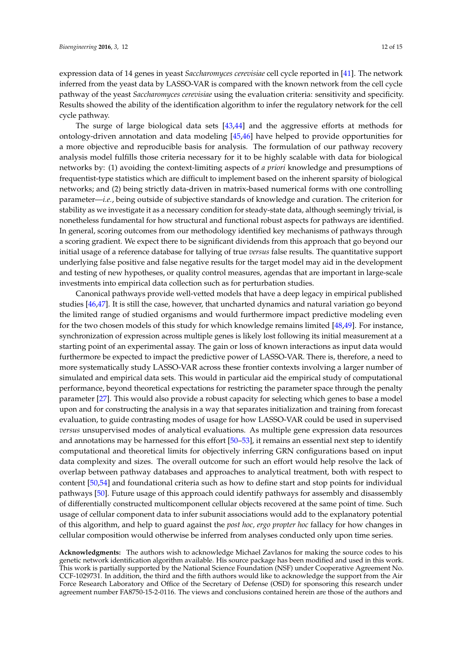expression data of 14 genes in yeast *Saccharomyces cerevisiae* cell cycle reported in [\[41\]](#page-13-20). The network inferred from the yeast data by LASSO-VAR is compared with the known network from the cell cycle pathway of the yeast *Saccharomyces cerevisiae* using the evaluation criteria: sensitivity and specificity. Results showed the ability of the identification algorithm to infer the regulatory network for the cell cycle pathway.

The surge of large biological data sets [\[43](#page-13-22)[,44\]](#page-13-23) and the aggressive efforts at methods for ontology-driven annotation and data modeling [\[45,](#page-13-24)[46\]](#page-14-0) have helped to provide opportunities for a more objective and reproducible basis for analysis. The formulation of our pathway recovery analysis model fulfills those criteria necessary for it to be highly scalable with data for biological networks by: (1) avoiding the context-limiting aspects of *a priori* knowledge and presumptions of frequentist-type statistics which are difficult to implement based on the inherent sparsity of biological networks; and (2) being strictly data-driven in matrix-based numerical forms with one controlling parameter—*i.e.*, being outside of subjective standards of knowledge and curation. The criterion for stability as we investigate it as a necessary condition for steady-state data, although seemingly trivial, is nonetheless fundamental for how structural and functional robust aspects for pathways are identified. In general, scoring outcomes from our methodology identified key mechanisms of pathways through a scoring gradient. We expect there to be significant dividends from this approach that go beyond our initial usage of a reference database for tallying of true *versus* false results. The quantitative support underlying false positive and false negative results for the target model may aid in the development and testing of new hypotheses, or quality control measures, agendas that are important in large-scale investments into empirical data collection such as for perturbation studies.

Canonical pathways provide well-vetted models that have a deep legacy in empirical published studies [\[46,](#page-14-0)[47\]](#page-14-1). It is still the case, however, that uncharted dynamics and natural variation go beyond the limited range of studied organisms and would furthermore impact predictive modeling even for the two chosen models of this study for which knowledge remains limited [\[48,](#page-14-2)[49\]](#page-14-3). For instance, synchronization of expression across multiple genes is likely lost following its initial measurement at a starting point of an experimental assay. The gain or loss of known interactions as input data would furthermore be expected to impact the predictive power of LASSO-VAR. There is, therefore, a need to more systematically study LASSO-VAR across these frontier contexts involving a larger number of simulated and empirical data sets. This would in particular aid the empirical study of computational performance, beyond theoretical expectations for restricting the parameter space through the penalty parameter [\[27\]](#page-13-6). This would also provide a robust capacity for selecting which genes to base a model upon and for constructing the analysis in a way that separates initialization and training from forecast evaluation, to guide contrasting modes of usage for how LASSO-VAR could be used in supervised *versus* unsupervised modes of analytical evaluations. As multiple gene expression data resources and annotations may be harnessed for this effort [\[50–](#page-14-4)[53\]](#page-14-5), it remains an essential next step to identify computational and theoretical limits for objectively inferring GRN configurations based on input data complexity and sizes. The overall outcome for such an effort would help resolve the lack of overlap between pathway databases and approaches to analytical treatment, both with respect to content [\[50,](#page-14-4)[54\]](#page-14-6) and foundational criteria such as how to define start and stop points for individual pathways [\[50\]](#page-14-4). Future usage of this approach could identify pathways for assembly and disassembly of differentially constructed multicomponent cellular objects recovered at the same point of time. Such usage of cellular component data to infer subunit associations would add to the explanatory potential of this algorithm, and help to guard against the *post hoc, ergo propter hoc* fallacy for how changes in cellular composition would otherwise be inferred from analyses conducted only upon time series.

**Acknowledgments:** The authors wish to acknowledge Michael Zavlanos for making the source codes to his genetic network identification algorithm available. His source package has been modified and used in this work. This work is partially supported by the National Science Foundation (NSF) under Cooperative Agreement No. CCF-1029731. In addition, the third and the fifth authors would like to acknowledge the support from the Air Force Research Laboratory and Office of the Secretary of Defense (OSD) for sponsoring this research under agreement number FA8750-15-2-0116. The views and conclusions contained herein are those of the authors and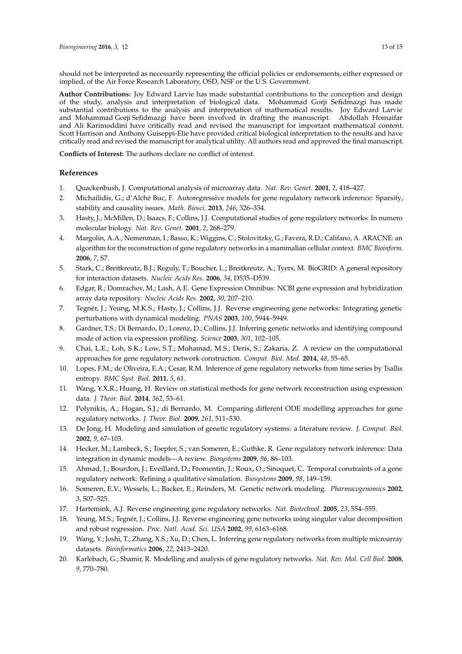should not be interpreted as necessarily representing the official policies or endorsements, either expressed or implied, of the Air Force Research Laboratory, OSD, NSF or the U.S. Government.

**Author Contributions:** Joy Edward Larvie has made substantial contributions to the conception and design of the study, analysis and interpretation of biological data. Mohammad Gorji Sefidmazgi has made substantial contributions to the analysis and interpretation of mathematical results. Joy Edward Larvie and Mohammad Gorji Sefidmazgi have been involved in drafting the manuscript. Abdollah Homaifar and Ali Karimoddini have critically read and revised the manuscript for important mathematical content. Scott Harrison and Anthony Guiseppi-Elie have provided critical biological interpretation to the results and have critically read and revised the manuscript for analytical utility. All authors read and approved the final manuscript.

**Conflicts of Interest:** The authors declare no conflict of interest.

# **References**

- <span id="page-12-0"></span>1. Quackenbush, J. Computational analysis of microarray data. *Nat. Rev. Genet.* **2001**, *2*, 418–427.
- <span id="page-12-1"></span>2. Michailidis, G.; d'Alché Buc, F. Autoregressive models for gene regulatory network inference: Sparsity, stability and causality issues. *Math. Biosci.* **2013**, *246*, 326–334.
- <span id="page-12-2"></span>3. Hasty, J.; McMillen, D.; Isaacs, F.; Collins, J.J. Computational studies of gene regulatory networks: In numero molecular biology. *Nat. Rev. Genet.* **2001**, *2*, 268–279.
- <span id="page-12-3"></span>4. Margolin, A.A.; Nemenman, I.; Basso, K.; Wiggins, C.; Stolovitzky, G.; Favera, R.D.; Califano, A. ARACNE: an algorithm for the reconstruction of gene regulatory networks in a mammalian cellular context. *BMC Bioinform.* **2006**, *7*, S7.
- <span id="page-12-4"></span>5. Stark, C.; Breitkreutz, B.J.; Reguly, T.; Boucher, L.; Breitkreutz, A.; Tyers, M. BioGRID: A general repository for interaction datasets. *Nucleic Acids Res.* **2006**, *34*, D535–D539.
- <span id="page-12-5"></span>6. Edgar, R.; Domrachev, M.; Lash, A.E. Gene Expression Omnibus: NCBI gene expression and hybridization array data repository. *Nucleic Acids Res.* **2002**, *30*, 207–210.
- <span id="page-12-6"></span>7. Tegnér, J.; Yeung, M.K.S.; Hasty, J.; Collins, J.J. Reverse engineering gene networks: Integrating genetic perturbations with dynamical modeling. *PNAS* **2003**, *100*, 5944–5949.
- <span id="page-12-7"></span>8. Gardner, T.S.; Di Bernardo, D.; Lorenz, D.; Collins, J.J. Inferring genetic networks and identifying compound mode of action via expression profiling. *Science* **2003**, *301*, 102–105.
- <span id="page-12-8"></span>9. Chai, L.E.; Loh, S.K.; Low, S.T.; Mohamad, M.S.; Deris, S.; Zakaria, Z. A review on the computational approaches for gene regulatory network construction. *Comput. Biol. Med.* **2014**, *48*, 55–65.
- <span id="page-12-9"></span>10. Lopes, F.M.; de Oliveira, E.A.; Cesar, R.M. Inference of gene regulatory networks from time series by Tsallis entropy. *BMC Syst. Biol.* **2011**, *5*, 61.
- <span id="page-12-10"></span>11. Wang, Y.X.R.; Huang, H. Review on statistical methods for gene network reconstruction using expression data. *J. Theor. Biol.* **2014**, *362*, 53–61.
- <span id="page-12-11"></span>12. Polynikis, A.; Hogan, S.J.; di Bernardo, M. Comparing different ODE modelling approaches for gene regulatory networks. *J. Theor. Biol.* **2009**, *261*, 511–530.
- <span id="page-12-12"></span>13. De Jong, H. Modeling and simulation of genetic regulatory systems: a literature review. *J. Comput. Biol.* **2002**, *9*, 67–103.
- <span id="page-12-13"></span>14. Hecker, M.; Lambeck, S.; Toepfer, S.; van Someren, E.; Guthke, R. Gene regulatory network inference: Data integration in dynamic models—A review. *Biosystems* **2009**, *96*, 86–103.
- <span id="page-12-14"></span>15. Ahmad, J.; Bourdon, J.; Eveillard, D.; Fromentin, J.; Roux, O.; Sinoquet, C. Temporal constraints of a gene regulatory network: Refining a qualitative simulation. *Biosystems* **2009**, *98*, 149–159.
- <span id="page-12-15"></span>16. Someren, E.V.; Wessels, L.; Backer, E.; Reinders, M. Genetic network modeling. *Pharmacogenomics* **2002**, *3*, 507–525.
- 17. Hartemink, A.J. Reverse engineering gene regulatory networks. *Nat. Biotechnol.* **2005**, *23*, 554–555.
- 18. Yeung, M.S.; Tegnér, J.; Collins, J.J. Reverse engineering gene networks using singular value decomposition and robust regression. *Proc. Natl. Acad. Sci. USA* **2002**, *99*, 6163–6168.
- <span id="page-12-16"></span>19. Wang, Y.; Joshi, T.; Zhang, X.S.; Xu, D.; Chen, L. Inferring gene regulatory networks from multiple microarray datasets. *Bioinformatics* **2006**, *22*, 2413–2420.
- <span id="page-12-17"></span>20. Karlebach, G.; Shamir, R. Modelling and analysis of gene regulatory networks. *Nat. Rev. Mol. Cell Biol.* **2008**, *9*, 770–780.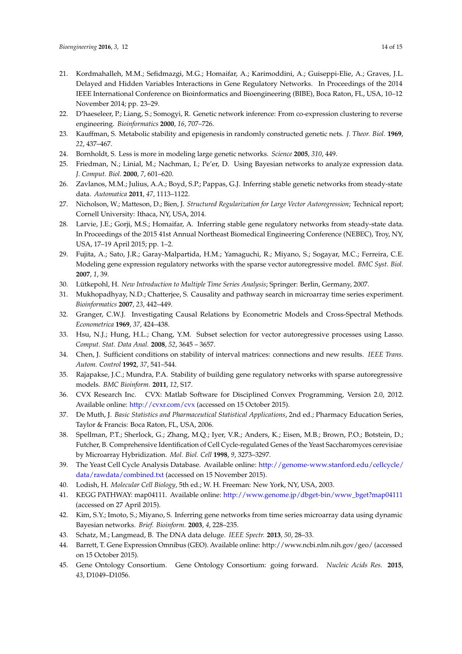- <span id="page-13-0"></span>21. Kordmahalleh, M.M.; Sefidmazgi, M.G.; Homaifar, A.; Karimoddini, A.; Guiseppi-Elie, A.; Graves, J.L. Delayed and Hidden Variables Interactions in Gene Regulatory Networks. In Proceedings of the 2014 IEEE International Conference on Bioinformatics and Bioengineering (BIBE), Boca Raton, FL, USA, 10–12 November 2014; pp. 23–29.
- <span id="page-13-1"></span>22. D'haeseleer, P.; Liang, S.; Somogyi, R. Genetic network inference: From co-expression clustering to reverse engineering. *Bioinformatics* **2000**, *16*, 707–726.
- <span id="page-13-2"></span>23. Kauffman, S. Metabolic stability and epigenesis in randomly constructed genetic nets. *J. Theor. Biol.* **1969**, *22*, 437–467.
- <span id="page-13-3"></span>24. Bornholdt, S. Less is more in modeling large genetic networks. *Science* **2005**, *310*, 449.
- <span id="page-13-4"></span>25. Friedman, N.; Linial, M.; Nachman, I.; Pe'er, D. Using Bayesian networks to analyze expression data. *J. Comput. Biol.* **2000**, *7*, 601–620.
- <span id="page-13-5"></span>26. Zavlanos, M.M.; Julius, A.A.; Boyd, S.P.; Pappas, G.J. Inferring stable genetic networks from steady-state data. *Automatica* **2011**, *47*, 1113–1122.
- <span id="page-13-6"></span>27. Nicholson, W.; Matteson, D.; Bien, J. *Structured Regularization for Large Vector Autoregression*; Technical report; Cornell University: Ithaca, NY, USA, 2014.
- <span id="page-13-7"></span>28. Larvie, J.E.; Gorji, M.S.; Homaifar, A. Inferring stable gene regulatory networks from steady-state data. In Proceedings of the 2015 41st Annual Northeast Biomedical Engineering Conference (NEBEC), Troy, NY, USA, 17–19 April 2015; pp. 1–2.
- <span id="page-13-8"></span>29. Fujita, A.; Sato, J.R.; Garay-Malpartida, H.M.; Yamaguchi, R.; Miyano, S.; Sogayar, M.C.; Ferreira, C.E. Modeling gene expression regulatory networks with the sparse vector autoregressive model. *BMC Syst. Biol.* **2007**, *1*, 39.
- <span id="page-13-9"></span>30. Lütkepohl, H. *New Introduction to Multiple Time Series Analysis*; Springer: Berlin, Germany, 2007.
- <span id="page-13-10"></span>31. Mukhopadhyay, N.D.; Chatterjee, S. Causality and pathway search in microarray time series experiment. *Bioinformatics* **2007**, *23*, 442–449.
- <span id="page-13-11"></span>32. Granger, C.W.J. Investigating Causal Relations by Econometric Models and Cross-Spectral Methods. *Econometrica* **1969**, *37*, 424–438.
- <span id="page-13-12"></span>33. Hsu, N.J.; Hung, H.L.; Chang, Y.M. Subset selection for vector autoregressive processes using Lasso. *Comput. Stat. Data Anal.* **2008**, *52*, 3645 – 3657.
- <span id="page-13-13"></span>34. Chen, J. Sufficient conditions on stability of interval matrices: connections and new results. *IEEE Trans. Autom. Control* **1992**, *37*, 541–544.
- <span id="page-13-14"></span>35. Rajapakse, J.C.; Mundra, P.A. Stability of building gene regulatory networks with sparse autoregressive models. *BMC Bioinform.* **2011**, *12*, S17.
- <span id="page-13-15"></span>36. CVX Research Inc. CVX: Matlab Software for Disciplined Convex Programming, Version 2.0, 2012. Available online: <http://cvxr.com/cvx> (accessed on 15 October 2015).
- <span id="page-13-16"></span>37. De Muth, J. *Basic Statistics and Pharmaceutical Statistical Applications*, 2nd ed.; Pharmacy Education Series, Taylor & Francis: Boca Raton, FL, USA, 2006.
- <span id="page-13-17"></span>38. Spellman, P.T.; Sherlock, G.; Zhang, M.Q.; Iyer, V.R.; Anders, K.; Eisen, M.B.; Brown, P.O.; Botstein, D.; Futcher, B. Comprehensive Identification of Cell Cycle-regulated Genes of the Yeast Saccharomyces cerevisiae by Microarray Hybridization. *Mol. Biol. Cell* **1998**, *9*, 3273–3297.
- <span id="page-13-18"></span>39. The Yeast Cell Cycle Analysis Database. Available online: [http://genome-www.stanford.edu/cellcycle/](http://genome-www.stanford.edu/cellcycle/data/rawdata/combined.txt) [data/rawdata/combined.txt](http://genome-www.stanford.edu/cellcycle/data/rawdata/combined.txt) (accessed on 15 November 2015).
- <span id="page-13-19"></span>40. Lodish, H. *Molecular Cell Biology*, 5th ed.; W. H. Freeman: New York, NY, USA, 2003.
- <span id="page-13-20"></span>41. KEGG PATHWAY: map04111. Available online: [http://www.genome.jp/dbget-bin/www\\_bget?map04111](http://www.genome.jp/dbget-bin/www_bget?map04111) (accessed on 27 April 2015).
- <span id="page-13-21"></span>42. Kim, S.Y.; Imoto, S.; Miyano, S. Inferring gene networks from time series microarray data using dynamic Bayesian networks. *Brief. Bioinform.* **2003**, *4*, 228–235.
- <span id="page-13-22"></span>43. Schatz, M.; Langmead, B. The DNA data deluge. *IEEE Spectr.* **2013**, *50*, 28–33.
- <span id="page-13-23"></span>44. Barrett, T. Gene Expression Omnibus (GEO). Available online: http://www.ncbi.nlm.nih.gov/geo/ (accessed on 15 October 2015).
- <span id="page-13-24"></span>45. Gene Ontology Consortium. Gene Ontology Consortium: going forward. *Nucleic Acids Res.* **2015**, *43*, D1049–D1056.